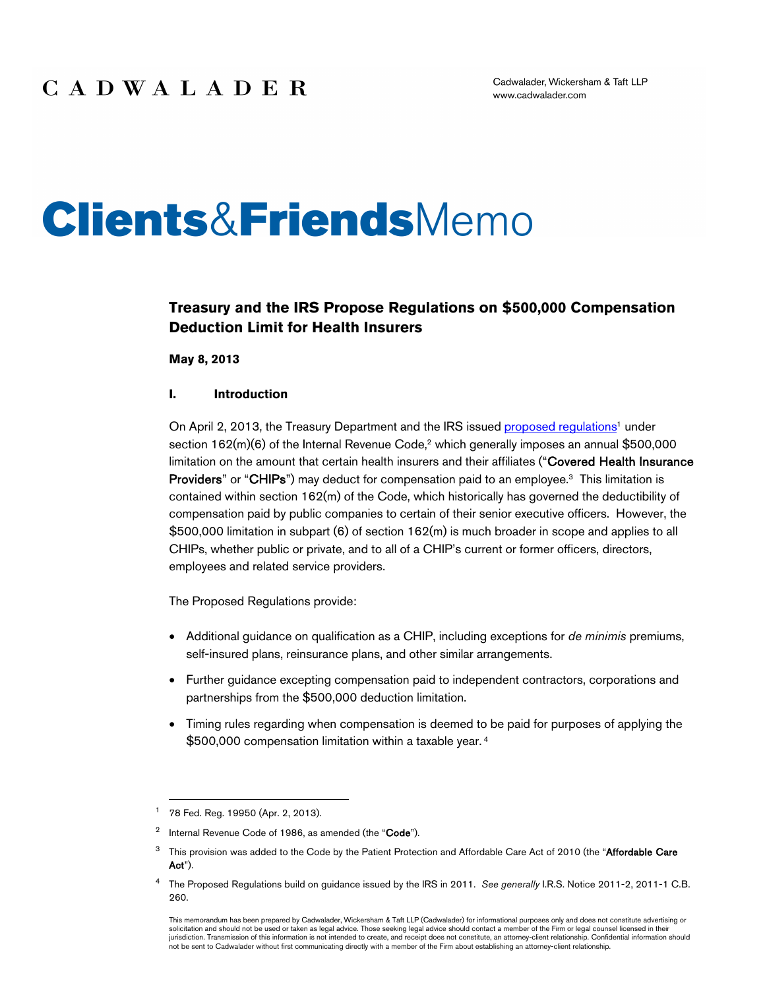# **Clients&Friends**Memo

### **Treasury and the IRS Propose Regulations on \$500,000 Compensation Deduction Limit for Health Insurers**

**May 8, 2013**

### **I. Introduction**

On April 2, 2013, the Treasury Department and the IRS issued [proposed regulations](http://www.gpo.gov/fdsys/pkg/FR-2013-04-02/pdf/2013-07533.pdf)<sup>1</sup> under section 162(m)(6) of the Internal Revenue Code,<sup>2</sup> which generally imposes an annual \$500,000 limitation on the amount that certain health insurers and their affiliates ("Covered Health Insurance Providers" or "CHIPs") may deduct for compensation paid to an employee.<sup>3</sup> This limitation is contained within section 162(m) of the Code, which historically has governed the deductibility of compensation paid by public companies to certain of their senior executive officers. However, the \$500,000 limitation in subpart (6) of section 162(m) is much broader in scope and applies to all CHIPs, whether public or private, and to all of a CHIP's current or former officers, directors, employees and related service providers.

The Proposed Regulations provide:

- Additional guidance on qualification as a CHIP, including exceptions for *de minimis* premiums, self-insured plans, reinsurance plans, and other similar arrangements.
- Further guidance excepting compensation paid to independent contractors, corporations and partnerships from the \$500,000 deduction limitation.
- Timing rules regarding when compensation is deemed to be paid for purposes of applying the \$500,000 compensation limitation within a taxable year.<sup>4</sup>

<sup>1</sup> 78 Fed. Reg. 19950 (Apr. 2, 2013).

<sup>&</sup>lt;sup>2</sup> Internal Revenue Code of 1986, as amended (the "Code").

<sup>&</sup>lt;sup>3</sup> This provision was added to the Code by the Patient Protection and Affordable Care Act of 2010 (the "Affordable Care Act").

<sup>4</sup> The Proposed Regulations build on guidance issued by the IRS in 2011. *See generally* I.R.S. Notice 2011-2, 2011-1 C.B. 260.

This memorandum has been prepared by Cadwalader, Wickersham & Taft LLP (Cadwalader) for informational purposes only and does not constitute advertising or solicitation and should not be used or taken as legal advice. Those seeking legal advice should contact a member of the Firm or legal counsel licensed in their jurisdiction. Transmission of this information is not intended to create, and receipt does not constitute, an attorney-client relationship. Confidential information should not be sent to Cadwalader without first communicating directly with a member of the Firm about establishing an attorney-client relationship.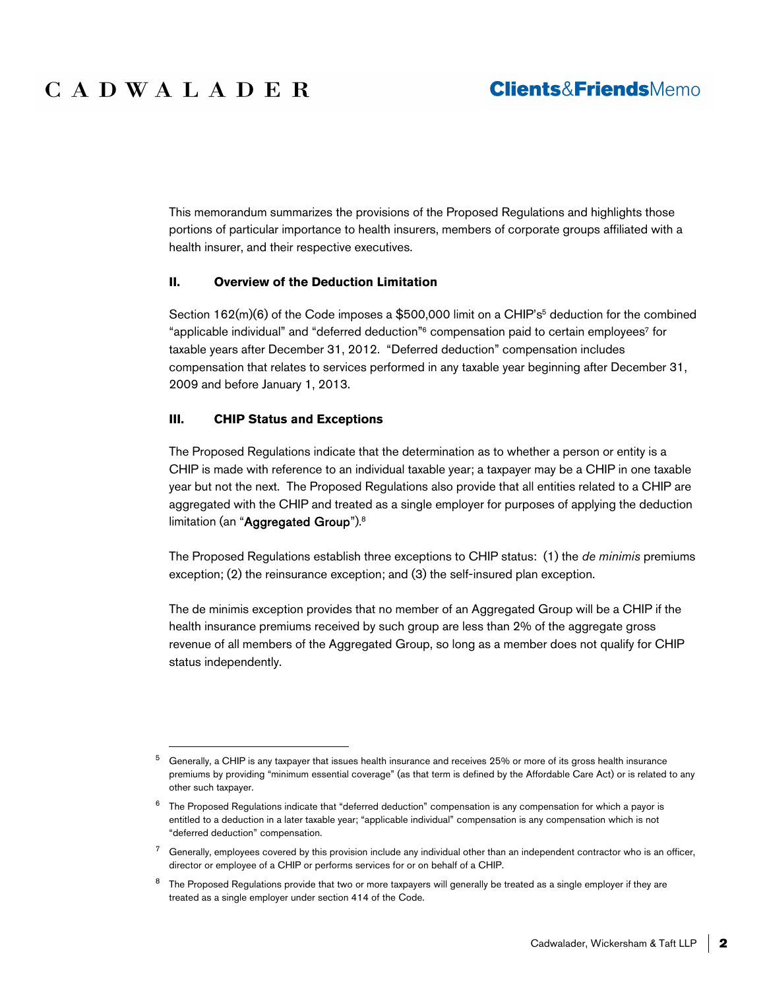# CADWALADER

### **Clients&FriendsMemo**

This memorandum summarizes the provisions of the Proposed Regulations and highlights those portions of particular importance to health insurers, members of corporate groups affiliated with a health insurer, and their respective executives.

### **II. Overview of the Deduction Limitation**

Section 162(m)(6) of the Code imposes a \$500,000 limit on a CHIP's<sup>5</sup> deduction for the combined "applicable individual" and "deferred deduction"<sup>6</sup> compensation paid to certain employees<sup>7</sup> for taxable years after December 31, 2012. "Deferred deduction" compensation includes compensation that relates to services performed in any taxable year beginning after December 31, 2009 and before January 1, 2013.

### **III. CHIP Status and Exceptions**

The Proposed Regulations indicate that the determination as to whether a person or entity is a CHIP is made with reference to an individual taxable year; a taxpayer may be a CHIP in one taxable year but not the next. The Proposed Regulations also provide that all entities related to a CHIP are aggregated with the CHIP and treated as a single employer for purposes of applying the deduction limitation (an "Aggregated Group").<sup>8</sup>

The Proposed Regulations establish three exceptions to CHIP status: (1) the *de minimis* premiums exception; (2) the reinsurance exception; and (3) the self-insured plan exception.

The de minimis exception provides that no member of an Aggregated Group will be a CHIP if the health insurance premiums received by such group are less than 2% of the aggregate gross revenue of all members of the Aggregated Group, so long as a member does not qualify for CHIP status independently.

<sup>5</sup> Generally, a CHIP is any taxpayer that issues health insurance and receives 25% or more of its gross health insurance premiums by providing "minimum essential coverage" (as that term is defined by the Affordable Care Act) or is related to any other such taxpayer.

 $6$  The Proposed Regulations indicate that "deferred deduction" compensation is any compensation for which a payor is entitled to a deduction in a later taxable year; "applicable individual" compensation is any compensation which is not "deferred deduction" compensation.

 $7$  Generally, employees covered by this provision include any individual other than an independent contractor who is an officer, director or employee of a CHIP or performs services for or on behalf of a CHIP.

<sup>&</sup>lt;sup>8</sup> The Proposed Regulations provide that two or more taxpayers will generally be treated as a single employer if they are treated as a single employer under section 414 of the Code.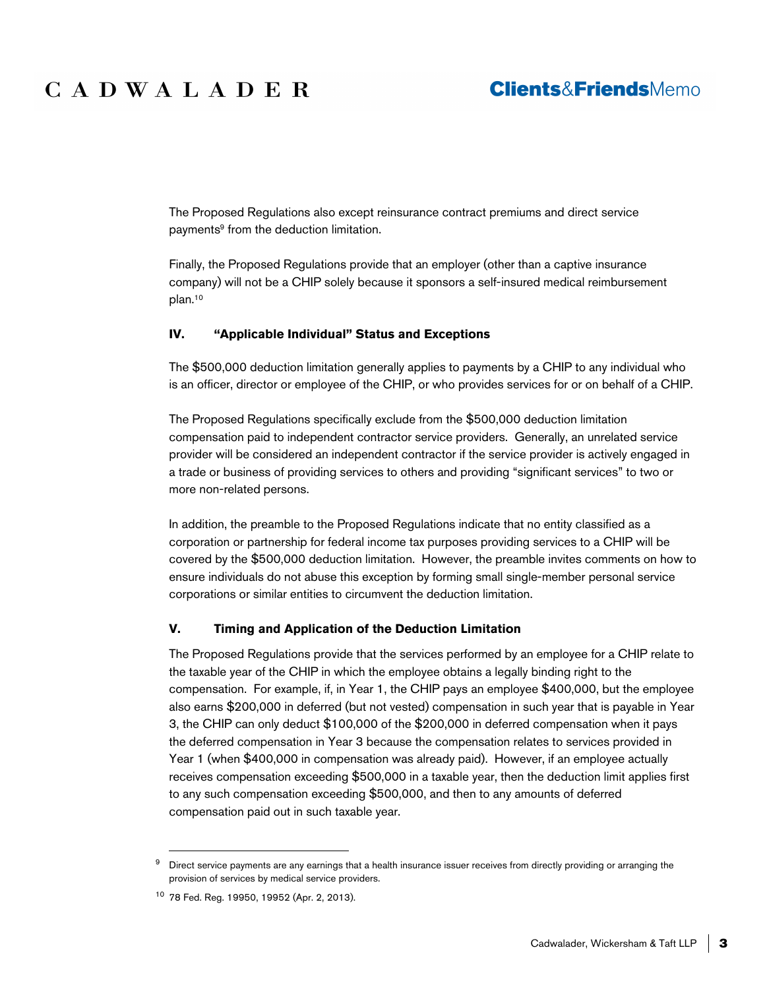# CADWALADER

### **Clients&FriendsMemo**

The Proposed Regulations also except reinsurance contract premiums and direct service payments<sup>9</sup> from the deduction limitation.

Finally, the Proposed Regulations provide that an employer (other than a captive insurance company) will not be a CHIP solely because it sponsors a self-insured medical reimbursement plan.<sup>10</sup>

#### **IV. "Applicable Individual" Status and Exceptions**

The \$500,000 deduction limitation generally applies to payments by a CHIP to any individual who is an officer, director or employee of the CHIP, or who provides services for or on behalf of a CHIP.

The Proposed Regulations specifically exclude from the \$500,000 deduction limitation compensation paid to independent contractor service providers. Generally, an unrelated service provider will be considered an independent contractor if the service provider is actively engaged in a trade or business of providing services to others and providing "significant services" to two or more non-related persons.

In addition, the preamble to the Proposed Regulations indicate that no entity classified as a corporation or partnership for federal income tax purposes providing services to a CHIP will be covered by the \$500,000 deduction limitation. However, the preamble invites comments on how to ensure individuals do not abuse this exception by forming small single-member personal service corporations or similar entities to circumvent the deduction limitation.

#### **V. Timing and Application of the Deduction Limitation**

The Proposed Regulations provide that the services performed by an employee for a CHIP relate to the taxable year of the CHIP in which the employee obtains a legally binding right to the compensation. For example, if, in Year 1, the CHIP pays an employee \$400,000, but the employee also earns \$200,000 in deferred (but not vested) compensation in such year that is payable in Year 3, the CHIP can only deduct \$100,000 of the \$200,000 in deferred compensation when it pays the deferred compensation in Year 3 because the compensation relates to services provided in Year 1 (when \$400,000 in compensation was already paid). However, if an employee actually receives compensation exceeding \$500,000 in a taxable year, then the deduction limit applies first to any such compensation exceeding \$500,000, and then to any amounts of deferred compensation paid out in such taxable year.

<sup>&</sup>lt;sup>9</sup> Direct service payments are any earnings that a health insurance issuer receives from directly providing or arranging the provision of services by medical service providers.

<sup>10</sup> 78 Fed. Reg. 19950, 19952 (Apr. 2, 2013).